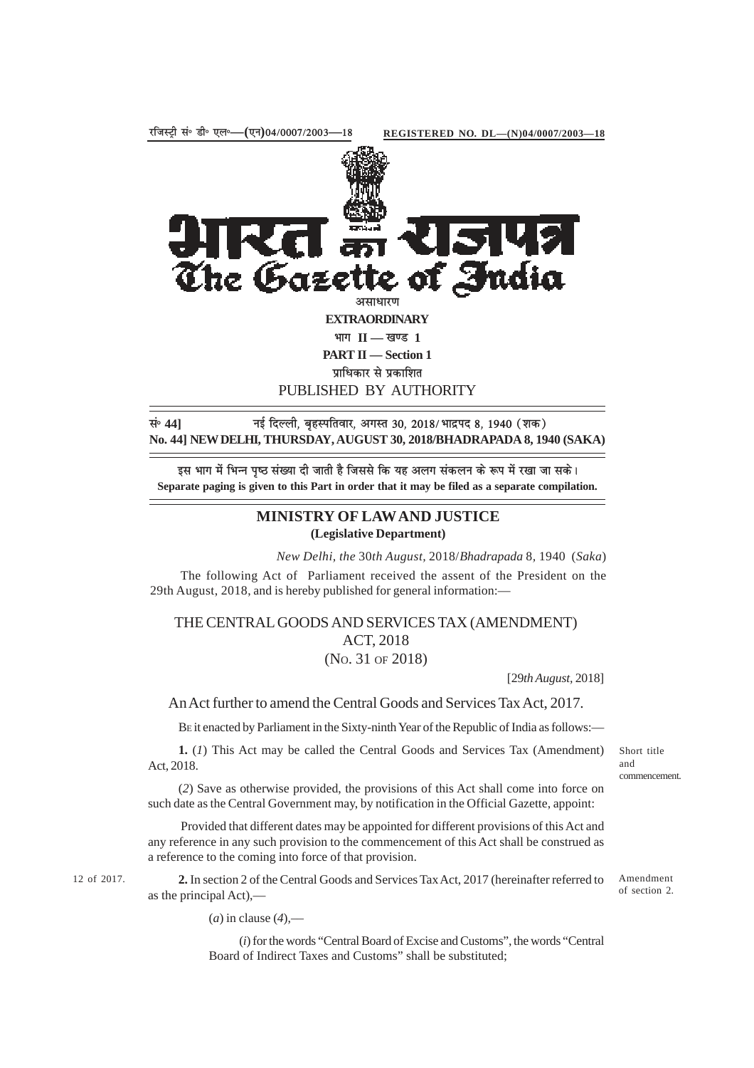

असाधारण

The Gazeti

**EXTRAORDINARY**

 $\mathbf{H} = \mathbf{I}$  **II** — खण्ड 1

**PART II — Section 1**

**प्राधिकार से प्रकाशित** 

PUBLISHED BY AUTHORITY

**land 141 lang bidding the component of the Fig. 2018/ 2018/ भाद्रपद 8, 1940 (शक) No. 44] NEW DELHI, THURSDAY, AUGUST 30, 2018/BHADRAPADA 8, 1940 (SAKA)**

इस भाग में भिन्न पष्ठ संख्या दी जाती है जिससे कि यह अलग संकलन के रूप में रखा जा सके। **Separate paging is given to this Part in order that it may be filed as a separate compilation.**

## **MINISTRY OF LAW AND JUSTICE (Legislative Department)**

*New Delhi, the* 30*th August,* 2018/*Bhadrapada* 8*,* 1940 (*Saka*)

The following Act of Parliament received the assent of the President on the 29th August, 2018, and is hereby published for general information:—

## THE CENTRAL GOODS AND SERVICES TAX (AMENDMENT) ACT, 2018 (NO. 31 OF 2018)

[29*th August,* 2018]

An Act further to amend the Central Goods and Services Tax Act, 2017.

BE it enacted by Parliament in the Sixty-ninth Year of the Republic of India as follows:—

**1.** (*1*) This Act may be called the Central Goods and Services Tax (Amendment) Act, 2018.

(*2*) Save as otherwise provided, the provisions of this Act shall come into force on such date as the Central Government may, by notification in the Official Gazette, appoint:

 Provided that different dates may be appointed for different provisions of this Act and any reference in any such provision to the commencement of this Act shall be construed as a reference to the coming into force of that provision.

12 of 2017. **2.** In section 2 of the Central Goods and Services Tax Act, 2017 (hereinafter referred to Amendment as the principal Act),––

of section 2.

Short title and

commencement.

(*a*) in clause (*4*),––

(*i*) for the words "Central Board of Excise and Customs", the words "Central Board of Indirect Taxes and Customs" shall be substituted;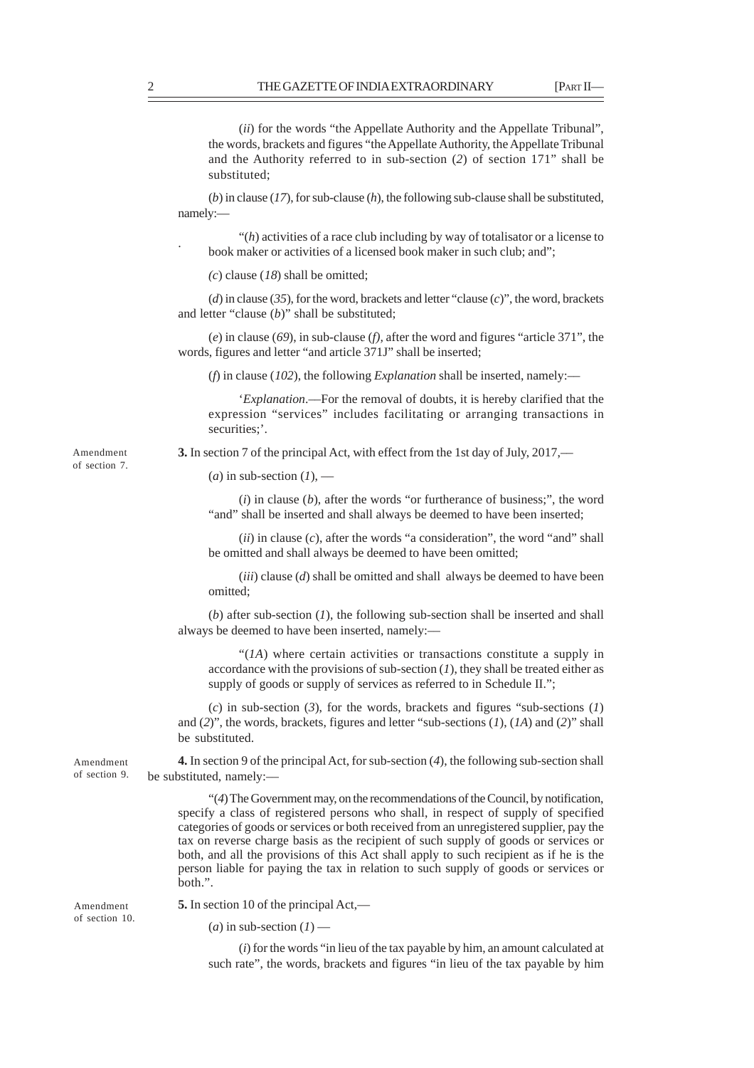. (*ii*) for the words "the Appellate Authority and the Appellate Tribunal", the words, brackets and figures "the Appellate Authority, the Appellate Tribunal and the Authority referred to in sub-section (*2*) of section 171" shall be substituted; (*b*) in clause (*17*), for sub-clause (*h*), the following sub-clause shall be substituted, namely:— "(*h*) activities of a race club including by way of totalisator or a license to book maker or activities of a licensed book maker in such club; and"; *(c*) clause (*18*) shall be omitted; (*d*) in clause (*35*), for the word, brackets and letter "clause (*c*)", the word, brackets and letter "clause (*b*)" shall be substituted; (*e*) in clause (*69*), in sub-clause (*f),* after the word and figures "article 371", the words, figures and letter "and article 371J" shall be inserted; (*f*) in clause (*102*), the following *Explanation* shall be inserted, namely:–– '*Explanation*.––For the removal of doubts, it is hereby clarified that the expression "services" includes facilitating or arranging transactions in securities:'. **3.** In section 7 of the principal Act, with effect from the 1st day of July, 2017,––  $(a)$  in sub-section  $(I)$ , — (*i*) in clause (*b*), after the words "or furtherance of business;", the word "and" shall be inserted and shall always be deemed to have been inserted; (*ii*) in clause (*c*), after the words "a consideration", the word "and" shall be omitted and shall always be deemed to have been omitted; (*iii*) clause (*d*) shall be omitted and shall always be deemed to have been omitted; (*b*) after sub-section (*1*), the following sub-section shall be inserted and shall always be deemed to have been inserted, namely:–– "(*1A*) where certain activities or transactions constitute a supply in accordance with the provisions of sub-section  $(I)$ , they shall be treated either as supply of goods or supply of services as referred to in Schedule II."; (*c*) in sub-section (*3*), for the words, brackets and figures "sub-sections (*1*) and (*2*)", the words, brackets, figures and letter "sub-sections (*1*), (*1A*) and (*2*)" shall be substituted. **4.** In section 9 of the principal Act, for sub-section (*4*), the following sub-section shall be substituted, namely:–– "(*4*) The Government may, on the recommendations of the Council, by notification, specify a class of registered persons who shall, in respect of supply of specified categories of goods or services or both received from an unregistered supplier, pay the tax on reverse charge basis as the recipient of such supply of goods or services or both, and all the provisions of this Act shall apply to such recipient as if he is the person liable for paying the tax in relation to such supply of goods or services or both.". **5.** In section 10 of the principal Act,—  $(a)$  in sub-section  $(I)$  — Amendment of section 7. Amendment of section 9. Amendment of section 10.

(*i*) for the words "in lieu of the tax payable by him, an amount calculated at such rate", the words, brackets and figures "in lieu of the tax payable by him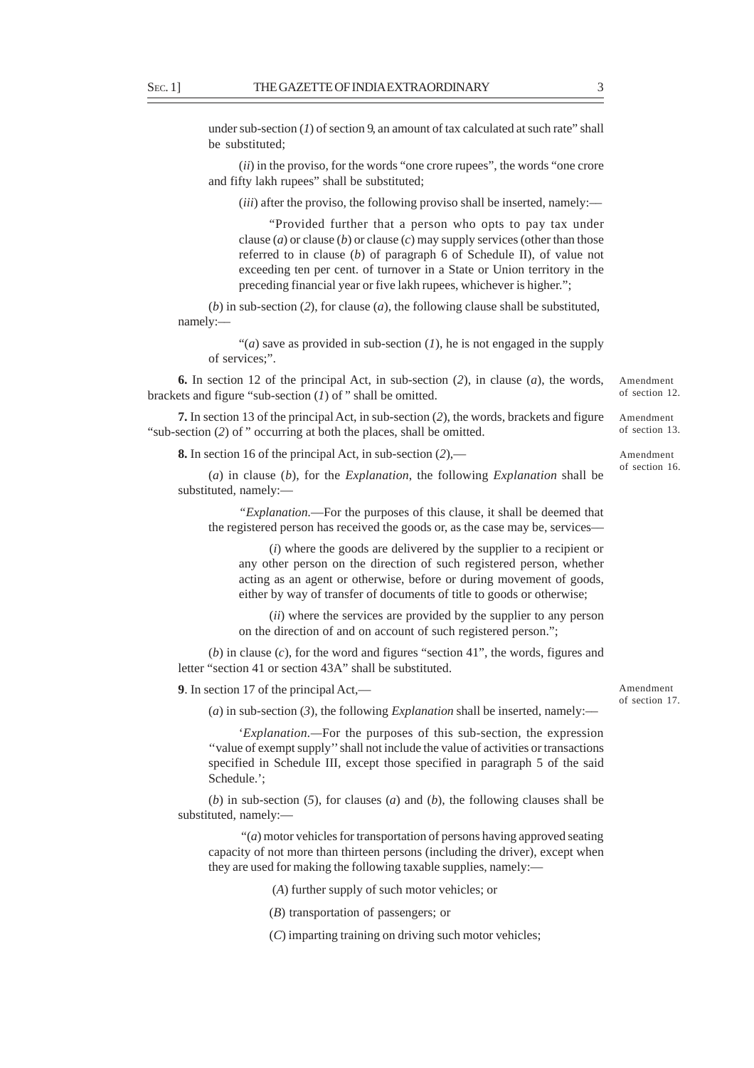under sub-section (*1*) of section 9, an amount of tax calculated at such rate" shall be substituted;

(*ii*) in the proviso, for the words "one crore rupees", the words "one crore and fifty lakh rupees" shall be substituted;

(*iii*) after the proviso, the following proviso shall be inserted, namely:—

"Provided further that a person who opts to pay tax under clause (*a*) or clause (*b*) or clause (*c*) may supply services (other than those referred to in clause (*b*) of paragraph 6 of Schedule II), of value not exceeding ten per cent. of turnover in a State or Union territory in the preceding financial year or five lakh rupees, whichever is higher.";

(*b*) in sub-section (*2*), for clause (*a*), the following clause shall be substituted, namely:––

" $(a)$  save as provided in sub-section  $(I)$ , he is not engaged in the supply of services;".

**6.** In section 12 of the principal Act, in sub-section (*2*), in clause (*a*), the words, brackets and figure "sub-section (*1*) of " shall be omitted.

**7.** In section 13 of the principal Act, in sub-section (*2*), the words, brackets and figure "sub-section (2) of " occurring at both the places, shall be omitted.

**8.** In section 16 of the principal Act, in sub-section (*2*),––

(*a*) in clause (*b*), for the *Explanation*, the following *Explanation* shall be substituted, namely:—

*"Explanation.*—For the purposes of this clause, it shall be deemed that the registered person has received the goods or, as the case may be, services––

(*i*) where the goods are delivered by the supplier to a recipient or any other person on the direction of such registered person, whether acting as an agent or otherwise, before or during movement of goods, either by way of transfer of documents of title to goods or otherwise;

(*ii*) where the services are provided by the supplier to any person on the direction of and on account of such registered person.";

(*b*) in clause (*c*), for the word and figures "section 41", the words, figures and letter "section 41 or section 43A" shall be substituted.

**9**. In section 17 of the principal Act,––

(*a*) in sub-section (*3*), the following *Explanation* shall be inserted, namely:––

'*Explanation.—*For the purposes of this sub-section, the expression ''value of exempt supply'' shall not include the value of activities or transactions specified in Schedule III, except those specified in paragraph 5 of the said Schedule.';

(*b*) in sub-section (*5*), for clauses (*a*) and (*b*), the following clauses shall be substituted, namely:—

 "(*a*) motor vehicles for transportation of persons having approved seating capacity of not more than thirteen persons (including the driver), except when they are used for making the following taxable supplies, namely:—

(*A*) further supply of such motor vehicles; or

(*B*) transportation of passengers; or

(*C*) imparting training on driving such motor vehicles;

Amendment of section 17.

Amendment of section 12.

Amendment of section 13.

Amendment of section 16.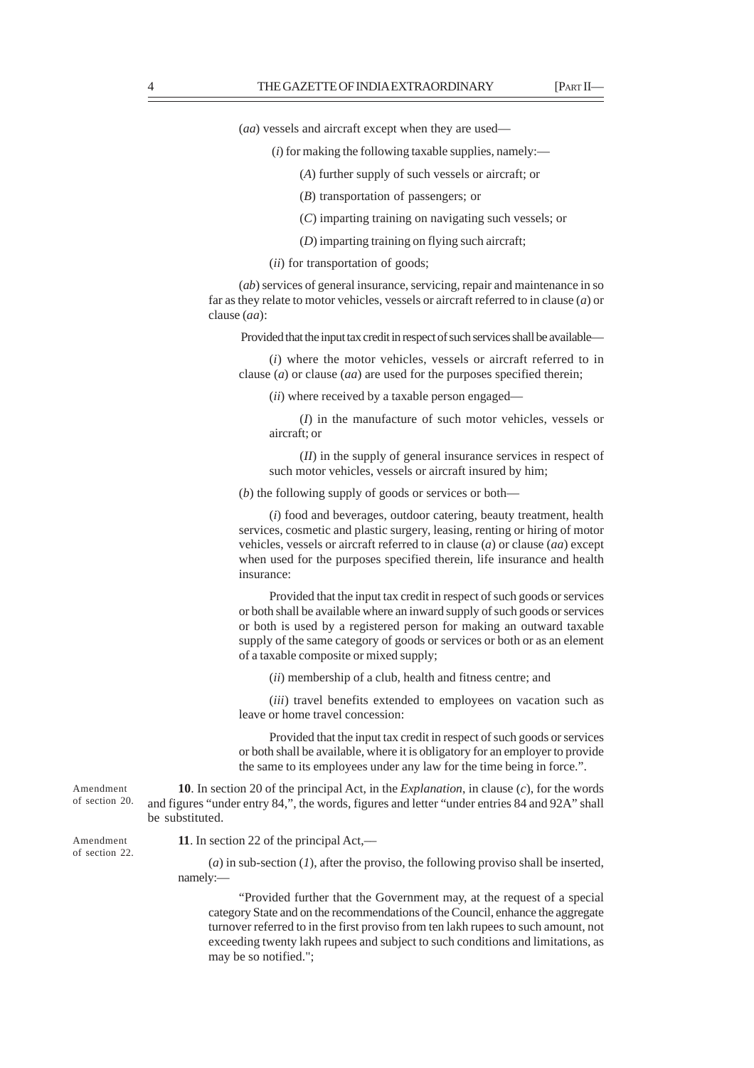(*aa*) vessels and aircraft except when they are used––

- (*i*) for making the following taxable supplies, namely:—
	- (*A*) further supply of such vessels or aircraft; or
	- (*B*) transportation of passengers; or
	- (*C*) imparting training on navigating such vessels; or
	- (*D*) imparting training on flying such aircraft;

(*ii*) for transportation of goods;

(*ab*) services of general insurance, servicing, repair and maintenance in so far as they relate to motor vehicles, vessels or aircraft referred to in clause (*a*) or clause (*aa*):

Provided that the input tax credit in respect of such services shall be available—

(*i*) where the motor vehicles, vessels or aircraft referred to in clause (*a*) or clause (*aa*) are used for the purposes specified therein;

(*ii*) where received by a taxable person engaged—

(*I*) in the manufacture of such motor vehicles, vessels or aircraft; or

(*II*) in the supply of general insurance services in respect of such motor vehicles, vessels or aircraft insured by him;

(*b*) the following supply of goods or services or both—

(*i*) food and beverages, outdoor catering, beauty treatment, health services, cosmetic and plastic surgery, leasing, renting or hiring of motor vehicles, vessels or aircraft referred to in clause (*a*) or clause (*aa*) except when used for the purposes specified therein, life insurance and health insurance:

Provided that the input tax credit in respect of such goods or services or both shall be available where an inward supply of such goods or services or both is used by a registered person for making an outward taxable supply of the same category of goods or services or both or as an element of a taxable composite or mixed supply;

(*ii*) membership of a club, health and fitness centre; and

(*iii*) travel benefits extended to employees on vacation such as leave or home travel concession:

Provided that the input tax credit in respect of such goods or services or both shall be available, where it is obligatory for an employer to provide the same to its employees under any law for the time being in force.".

**10**. In section 20 of the principal Act, in the *Explanation*, in clause (*c*), for the words and figures "under entry 84,", the words, figures and letter "under entries 84 and 92A" shall be substituted.

**11**. In section 22 of the principal Act,––

(*a*) in sub-section (*1*), after the proviso, the following proviso shall be inserted, namely:—

"Provided further that the Government may, at the request of a special category State and on the recommendations of the Council, enhance the aggregate turnover referred to in the first proviso from ten lakh rupees to such amount, not exceeding twenty lakh rupees and subject to such conditions and limitations, as may be so notified.";

of section 20.

Amendment of section 22.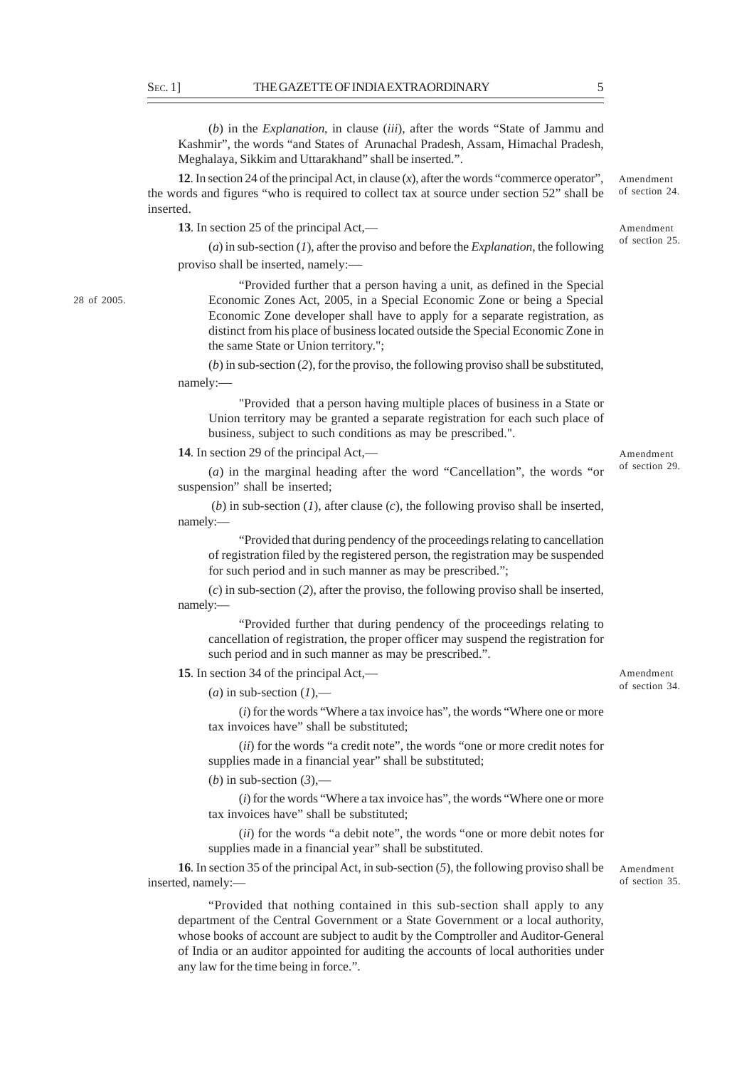(*b*) in the *Explanation*, in clause (*iii*), after the words "State of Jammu and Kashmir", the words "and States of Arunachal Pradesh, Assam, Himachal Pradesh, Meghalaya, Sikkim and Uttarakhand" shall be inserted.".

**12**. In section 24 of the principal Act, in clause (*x*), after the words "commerce operator", the words and figures "who is required to collect tax at source under section 52" shall be inserted.

**13**. In section 25 of the principal Act,––

(*a*) in sub-section (*1*), after the proviso and before the *Explanation*, the following proviso shall be inserted, namely:––

"Provided further that a person having a unit, as defined in the Special Economic Zones Act, 2005, in a Special Economic Zone or being a Special Economic Zone developer shall have to apply for a separate registration, as distinct from his place of business located outside the Special Economic Zone in the same State or Union territory.";

(*b*) in sub-section (*2*), for the proviso, the following proviso shall be substituted, namely:––

"Provided that a person having multiple places of business in a State or Union territory may be granted a separate registration for each such place of business, subject to such conditions as may be prescribed.".

**14**. In section 29 of the principal Act,––

(*a*) in the marginal heading after the word "Cancellation", the words "or suspension" shall be inserted;

(*b*) in sub-section (*1*), after clause (*c*), the following proviso shall be inserted, namely:—

"Provided that during pendency of the proceedings relating to cancellation of registration filed by the registered person, the registration may be suspended for such period and in such manner as may be prescribed.";

(*c*) in sub-section (*2*), after the proviso, the following proviso shall be inserted, namely:—

"Provided further that during pendency of the proceedings relating to cancellation of registration, the proper officer may suspend the registration for such period and in such manner as may be prescribed.".

**15**. In section 34 of the principal Act,––

 $(a)$  in sub-section  $(I)$ ,—

(*i*) for the words "Where a tax invoice has", the words "Where one or more tax invoices have" shall be substituted;

(*ii*) for the words "a credit note", the words "one or more credit notes for supplies made in a financial year" shall be substituted;

(*b*) in sub-section  $(3)$ ,—

(*i*) for the words "Where a tax invoice has", the words "Where one or more tax invoices have" shall be substituted;

(*ii*) for the words "a debit note", the words "one or more debit notes for supplies made in a financial year" shall be substituted.

**16**. In section 35 of the principal Act, in sub-section (*5*), the following proviso shall be inserted, namely:—

"Provided that nothing contained in this sub-section shall apply to any department of the Central Government or a State Government or a local authority, whose books of account are subject to audit by the Comptroller and Auditor-General of India or an auditor appointed for auditing the accounts of local authorities under any law for the time being in force.".

Amendment of section 35.

Amendment of section 34.

Amendment of section 29.

of section 24.

Amendment of section 25.

28 of 2005.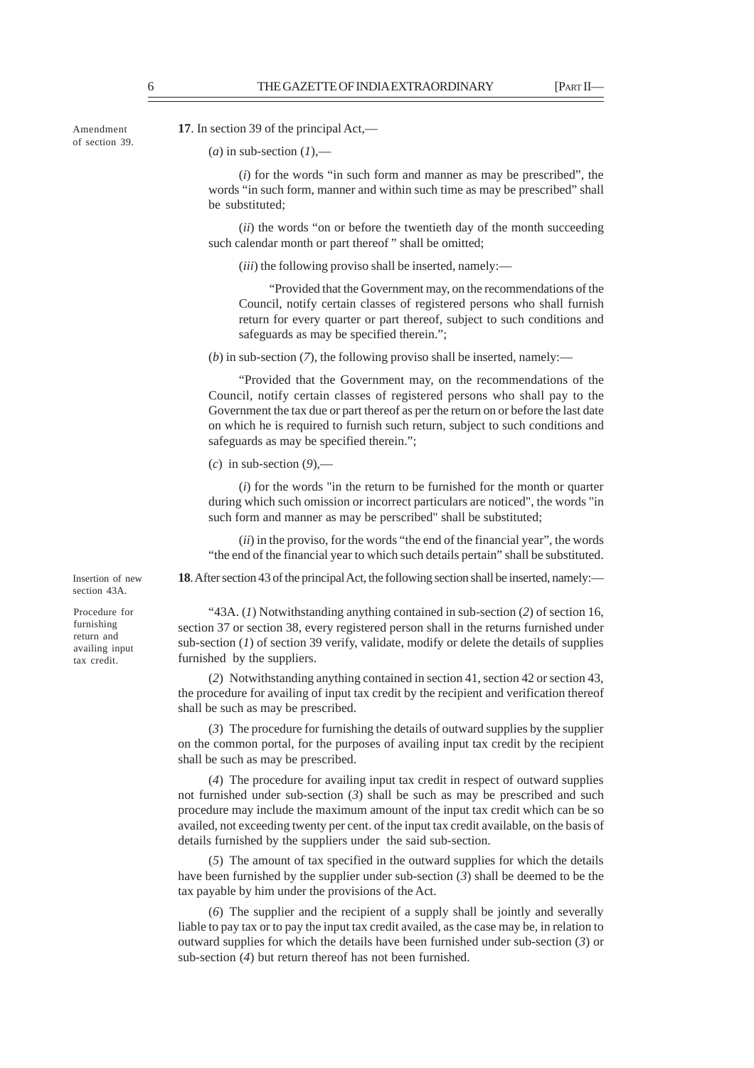Amendment of section 39. **17**. In section 39 of the principal Act,––

## $(a)$  in sub-section  $(I)$ ,—

(*i*) for the words "in such form and manner as may be prescribed", the words "in such form, manner and within such time as may be prescribed" shall be substituted;

(*ii*) the words "on or before the twentieth day of the month succeeding such calendar month or part thereof" shall be omitted;

(*iii*) the following proviso shall be inserted, namely:—

"Provided that the Government may, on the recommendations of the Council, notify certain classes of registered persons who shall furnish return for every quarter or part thereof, subject to such conditions and safeguards as may be specified therein.";

 $(b)$  in sub-section  $(7)$ , the following proviso shall be inserted, namely:—

"Provided that the Government may, on the recommendations of the Council, notify certain classes of registered persons who shall pay to the Government the tax due or part thereof as per the return on or before the last date on which he is required to furnish such return, subject to such conditions and safeguards as may be specified therein.";

(*c*) in sub-section (*9*),––

(*i*) for the words "in the return to be furnished for the month or quarter during which such omission or incorrect particulars are noticed", the words "in such form and manner as may be perscribed" shall be substituted;

(*ii*) in the proviso, for the words "the end of the financial year", the words "the end of the financial year to which such details pertain" shall be substituted.

**18**. After section 43 of the principal Act, the following section shall be inserted, namely:—

section 43A. Procedure for

furnishing return and availing input tax credit.

Insertion of new

"43A. (*1*) Notwithstanding anything contained in sub-section (*2*) of section 16, section 37 or section 38, every registered person shall in the returns furnished under sub-section  $(I)$  of section 39 verify, validate, modify or delete the details of supplies furnished by the suppliers.

(*2*) Notwithstanding anything contained in section 41, section 42 or section 43, the procedure for availing of input tax credit by the recipient and verification thereof shall be such as may be prescribed.

(*3*) The procedure for furnishing the details of outward supplies by the supplier on the common portal, for the purposes of availing input tax credit by the recipient shall be such as may be prescribed.

(*4*) The procedure for availing input tax credit in respect of outward supplies not furnished under sub-section (*3*) shall be such as may be prescribed and such procedure may include the maximum amount of the input tax credit which can be so availed, not exceeding twenty per cent. of the input tax credit available, on the basis of details furnished by the suppliers under the said sub-section.

(*5*) The amount of tax specified in the outward supplies for which the details have been furnished by the supplier under sub-section (*3*) shall be deemed to be the tax payable by him under the provisions of the Act.

(*6*) The supplier and the recipient of a supply shall be jointly and severally liable to pay tax or to pay the input tax credit availed, as the case may be, in relation to outward supplies for which the details have been furnished under sub-section (*3*) or sub-section (*4*) but return thereof has not been furnished.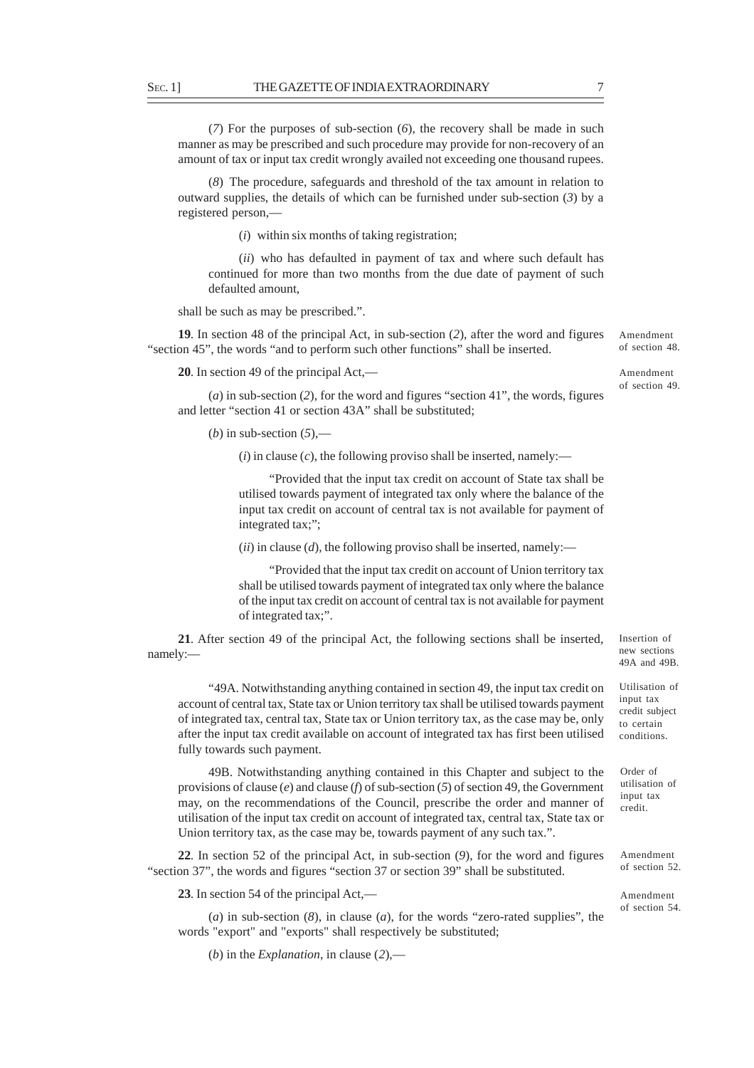(*7*) For the purposes of sub-section (*6*), the recovery shall be made in such manner as may be prescribed and such procedure may provide for non-recovery of an amount of tax or input tax credit wrongly availed not exceeding one thousand rupees.

(*8*) The procedure, safeguards and threshold of the tax amount in relation to outward supplies, the details of which can be furnished under sub-section (*3*) by a registered person,—

(*i*) within six months of taking registration;

(*ii*) who has defaulted in payment of tax and where such default has continued for more than two months from the due date of payment of such defaulted amount,

shall be such as may be prescribed.".

**19**. In section 48 of the principal Act, in sub-section (*2*), after the word and figures "section 45", the words "and to perform such other functions" shall be inserted.

**20**. In section 49 of the principal Act,––

(*a*) in sub-section (*2*), for the word and figures "section 41", the words, figures and letter "section 41 or section 43A" shall be substituted;

(*b*) in sub-section  $(5)$ ,—

 $(i)$  in clause  $(c)$ , the following proviso shall be inserted, namely:—

"Provided that the input tax credit on account of State tax shall be utilised towards payment of integrated tax only where the balance of the input tax credit on account of central tax is not available for payment of integrated tax;";

 $(ii)$  in clause  $(d)$ , the following proviso shall be inserted, namely:—

"Provided that the input tax credit on account of Union territory tax shall be utilised towards payment of integrated tax only where the balance of the input tax credit on account of central tax is not available for payment of integrated tax;".

**21**. After section 49 of the principal Act, the following sections shall be inserted, namely:––

"49A. Notwithstanding anything contained in section 49, the input tax credit on account of central tax, State tax or Union territory tax shall be utilised towards payment of integrated tax, central tax, State tax or Union territory tax, as the case may be, only after the input tax credit available on account of integrated tax has first been utilised fully towards such payment.

49B. Notwithstanding anything contained in this Chapter and subject to the provisions of clause (*e*) and clause (*f*) of sub-section (*5*) of section 49, the Government may, on the recommendations of the Council, prescribe the order and manner of utilisation of the input tax credit on account of integrated tax, central tax, State tax or Union territory tax, as the case may be, towards payment of any such tax.".

**22**. In section 52 of the principal Act, in sub-section (*9*), for the word and figures "section 37", the words and figures "section 37 or section 39" shall be substituted.

**23**. In section 54 of the principal Act,—

(*a*) in sub-section (*8*), in clause (*a*), for the words "zero-rated supplies", the words "export" and "exports" shall respectively be substituted;

(*b*) in the *Explanation*, in clause (*2*),––

Insertion of new sections 49A and 49B.

Utilisation of input tax credit subject to certain conditions.

Order of utilisation of input tax credit.

Amendment of section 52.

Amendment of section 54.

Amendment of section 48.

Amendment of section 49.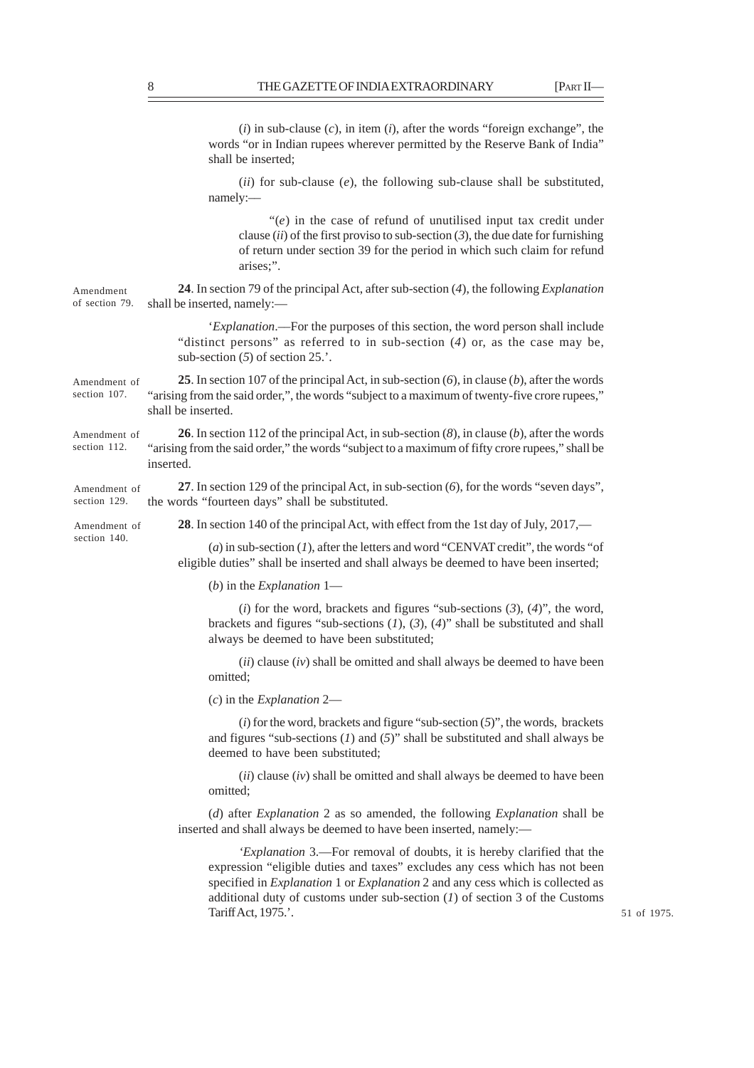(*i*) in sub-clause (*c*), in item (*i*), after the words "foreign exchange", the words "or in Indian rupees wherever permitted by the Reserve Bank of India" shall be inserted; (*ii*) for sub-clause (*e*), the following sub-clause shall be substituted, namely:–– "(*e*) in the case of refund of unutilised input tax credit under clause (*ii*) of the first proviso to sub-section (*3*), the due date for furnishing of return under section 39 for the period in which such claim for refund arises;". **24**. In section 79 of the principal Act, after sub-section (*4*), the following *Explanation* shall be inserted, namely:— '*Explanation*.––For the purposes of this section, the word person shall include "distinct persons" as referred to in sub-section (*4*) or, as the case may be, sub-section (*5*) of section 25.'. **25**. In section 107 of the principal Act, in sub-section (*6*), in clause (*b*), after the words "arising from the said order,", the words "subject to a maximum of twenty-five crore rupees," shall be inserted. **26**. In section 112 of the principal Act, in sub-section (*8*), in clause (*b*), after the words "arising from the said order," the words "subject to a maximum of fifty crore rupees," shall be inserted. **27**. In section 129 of the principal Act, in sub-section (*6*), for the words "seven days", the words "fourteen days" shall be substituted. **28**. In section 140 of the principal Act, with effect from the 1st day of July, 2017,–– (*a*) in sub-section (*1*), after the letters and word "CENVAT credit", the words "of eligible duties" shall be inserted and shall always be deemed to have been inserted; (*b*) in the *Explanation* 1— (*i*) for the word, brackets and figures "sub-sections (*3*), (*4*)", the word, brackets and figures "sub-sections (*1*), (*3*), (*4*)" shall be substituted and shall always be deemed to have been substituted; (*ii*) clause (*iv*) shall be omitted and shall always be deemed to have been omitted; (*c*) in the *Explanation* 2— (*i*) for the word, brackets and figure "sub-section (*5*)", the words, brackets and figures "sub-sections (*1*) and (*5*)" shall be substituted and shall always be deemed to have been substituted; (*ii*) clause (*iv*) shall be omitted and shall always be deemed to have been omitted; (*d*) after *Explanation* 2 as so amended, the following *Explanation* shall be inserted and shall always be deemed to have been inserted, namely:— *'Explanation* 3.—For removal of doubts, it is hereby clarified that the expression "eligible duties and taxes" excludes any cess which has not been specified in *Explanation* 1 or *Explanation* 2 and any cess which is collected as additional duty of customs under sub-section (*1*) of section 3 of the Customs Tariff Act, 1975.'. Amendment of section 79. Amendment of section 107. Amendment of section 112. Amendment of section 129. Amendment of section 140.

51 of 1975.